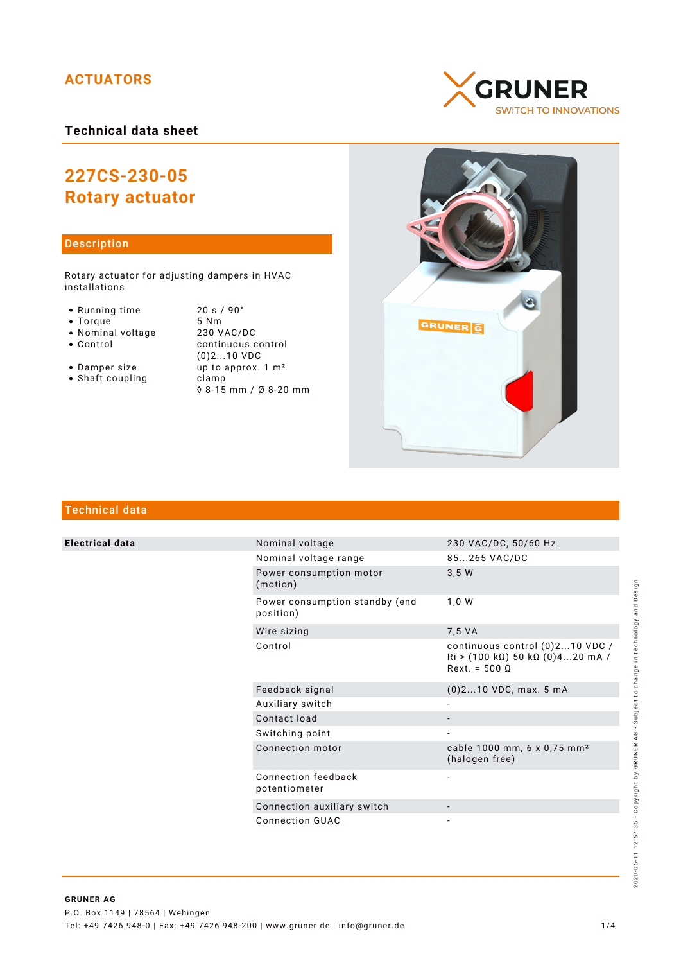# **ACTUATORS**

### **Technical data sheet**

# **227CS-230-05 Rotary actuator**

#### Description

Rotary actuator for adjusting dampers in HVAC installations

- Running time 20 s / 90°<br>• Torque 5 Nm
- 
- Torque 5 Nm<br>• Nominal voltage 230 VAC/DC • Nominal voltage<br>• Control
- 
- continuous control (0)2...10 VDC • Damper size up to approx. 1 m<sup>2</sup> • Shaft coupling clamp
	- ◊ 8-15 mm / Ø 8-20 mm





## Technical data

**Electrical data** 

| Nominal voltage                             | 230 VAC/DC, 50/60 Hz                                                                                                         |
|---------------------------------------------|------------------------------------------------------------------------------------------------------------------------------|
| Nominal voltage range                       | 85265 VAC/DC                                                                                                                 |
| Power consumption motor<br>(motion)         | 3.5W                                                                                                                         |
| Power consumption standby (end<br>position) | 1.0 W                                                                                                                        |
| Wire sizing                                 | 7,5 VA                                                                                                                       |
| Control                                     | continuous control (0)210 VDC /<br>$\text{Ri} > (100 \text{ k}\Omega) 50 \text{ k}\Omega (0)420 \text{ mA}$<br>$Rext = 5000$ |
| Feedback signal                             | $(0)$ 210 VDC, max. 5 mA                                                                                                     |
| Auxiliary switch                            |                                                                                                                              |
| Contact load                                |                                                                                                                              |
| Switching point                             |                                                                                                                              |
| Connection motor                            | cable 1000 mm, 6 x 0,75 mm <sup>2</sup><br>(halogen free)                                                                    |
| Connection feedback<br>potentiometer        |                                                                                                                              |
| Connection auxiliary switch                 |                                                                                                                              |
| Connection GUAC                             |                                                                                                                              |
|                                             |                                                                                                                              |

# 2020-05-11 12:57:35 · Copyright by GRUNER AG · Subject to change in technology and Design 2020-05-11 12:57:35 • Copyright by GRUNER AG • Subject to change in technology and Design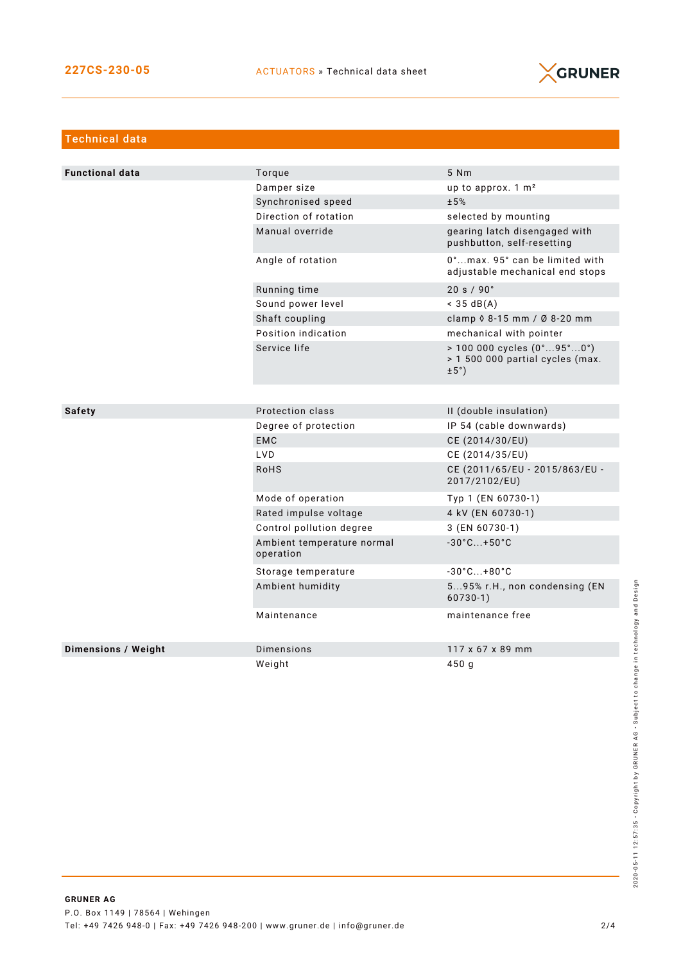

| <b>Technical data</b>      |                                         |                                                                                                             |  |  |
|----------------------------|-----------------------------------------|-------------------------------------------------------------------------------------------------------------|--|--|
|                            |                                         |                                                                                                             |  |  |
| <b>Functional data</b>     | Torque                                  | 5 Nm                                                                                                        |  |  |
|                            | Damper size                             | up to approx. 1 m <sup>2</sup>                                                                              |  |  |
|                            | Synchronised speed                      | ±5%                                                                                                         |  |  |
|                            | Direction of rotation                   | selected by mounting                                                                                        |  |  |
|                            | Manual override                         | gearing latch disengaged with<br>pushbutton, self-resetting                                                 |  |  |
|                            | Angle of rotation                       | 0°max. 95° can be limited with<br>adjustable mechanical end stops                                           |  |  |
|                            | Running time                            | 20 s / 90°                                                                                                  |  |  |
|                            | Sound power level                       | $<$ 35 dB(A)                                                                                                |  |  |
|                            | Shaft coupling                          | clamp 0 8-15 mm / Ø 8-20 mm                                                                                 |  |  |
|                            | Position indication                     | mechanical with pointer                                                                                     |  |  |
|                            | Service life                            | $> 100000$ cycles $(0^{\circ}95^{\circ}0^{\circ})$<br>> 1 500 000 partial cycles (max.<br>$\pm 5^{\circ}$ ) |  |  |
|                            |                                         |                                                                                                             |  |  |
| <b>Safety</b>              | Protection class                        | II (double insulation)                                                                                      |  |  |
|                            | Degree of protection                    | IP 54 (cable downwards)                                                                                     |  |  |
|                            | <b>EMC</b>                              | CE (2014/30/EU)                                                                                             |  |  |
|                            | <b>LVD</b>                              | CE (2014/35/EU)                                                                                             |  |  |
|                            | <b>RoHS</b>                             | CE (2011/65/EU - 2015/863/EU -<br>2017/2102/EU)                                                             |  |  |
|                            | Mode of operation                       | Typ 1 (EN 60730-1)                                                                                          |  |  |
|                            | Rated impulse voltage                   | 4 kV (EN 60730-1)                                                                                           |  |  |
|                            | Control pollution degree                | 3 (EN 60730-1)                                                                                              |  |  |
|                            | Ambient temperature normal<br>operation | $-30^{\circ}$ C +50 $^{\circ}$ C                                                                            |  |  |
|                            | Storage temperature                     | $-30^{\circ}$ C $+80^{\circ}$ C                                                                             |  |  |
|                            | Ambient humidity                        | 595% r.H., non condensing (EN<br>$60730-1)$                                                                 |  |  |
|                            | Maintenance                             | maintenance free                                                                                            |  |  |
| <b>Dimensions / Weight</b> | Dimensions                              | 117 x 67 x 89 mm                                                                                            |  |  |
|                            | Weiaht                                  | 450 g                                                                                                       |  |  |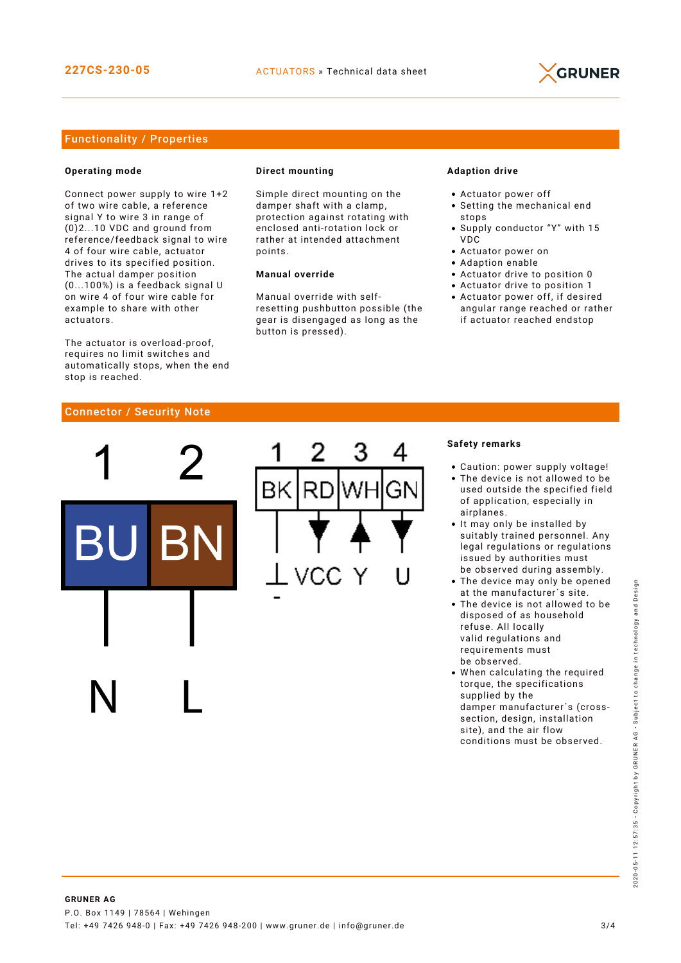

#### Functionality / Properties

#### **Operating mode**

Connect power supply to wire 1+2 of two wire cable, a reference signal Y to wire 3 in range of (0)2...10 VDC and ground from reference/feedback signal to wire 4 of four wire cable, actuator drives to its specified position. The actual damper position (0...100%) is a feedback signal U on wire 4 of four wire cable for example to share with other actuators.

The actuator is overload-proof, requires no limit switches and automatically stops, when the end stop is reached.

#### **Direct mounting**

Simple direct mounting on the damper shaft with a clamp, protection against rotating with enclosed anti-rotation lock or rather at intended attachment points.

#### **Manual override**

Manual override with selfresetting pushbutton possible (the gear is disengaged as long as the button is pressed).

#### **Adaption drive**

- Actuator power off
- Setting the mechanical end stops
- Supply conductor "Y" with 15 VDC
- Actuator power on
- Adaption enable
- Actuator drive to position 0
- Actuator drive to position 1
- Actuator power off, if desired angular range reached or rather if actuator reached endstop

#### Connector / Security Note



#### **Safety remarks**

- Caution: power supply voltage!
- The device is not allowed to be used outside the specified field of application, especially in airplanes.
- It may only be installed by suitably trained personnel. Any legal regulations or regulations issued by authorities must be observed during assembly.
- The device may only be opened at the manufacturer´s site.
- The device is not allowed to be disposed of as household refuse. All locally valid regulations and requirements must be observed.
- When calculating the required torque, the specifications supplied by the damper manufacturer´s (crosssection, design, installation site), and the air flow conditions must be observed.